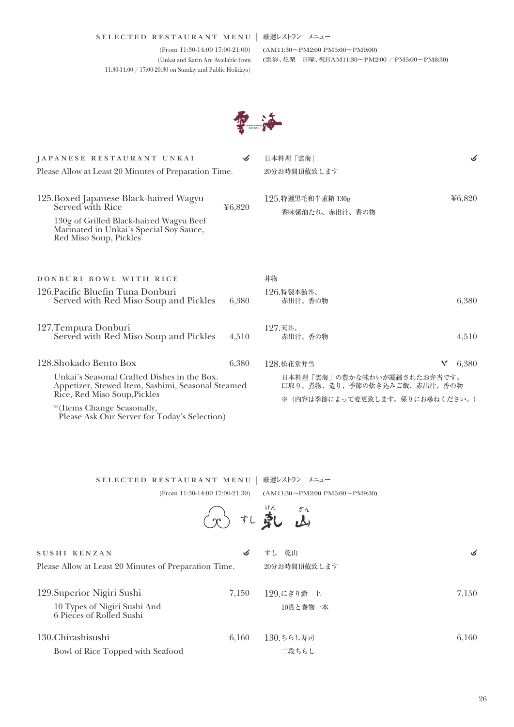## | selected restaurant menu 厳選レストラン メニュー

(From 11:30-14:00 17:00-21:00) (Unkai and Karin Are Available from 11:30-14:00 / 17:00-20:30 on Sunday and Public Holidays)

(AM11:30~PM2:00 PM5:00~PM9:00) (雲海、花梨 日曜、祝日AM11:30~PM2:00 / PM5:00~PM8:30)



| JAPANESE RESTAURANT UNKAI                                                                                                                                                                                      |        | 日本料理 「雲海」                                                                                    | S          |
|----------------------------------------------------------------------------------------------------------------------------------------------------------------------------------------------------------------|--------|----------------------------------------------------------------------------------------------|------------|
| Please Allow at Least 20 Minutes of Preparation Time.                                                                                                                                                          |        | 20分お時間頂戴致します                                                                                 |            |
| 125.Boxed Japanese Black-haired Wagyu<br>Served with Rice<br>130g of Grilled Black-haired Wagyu Beef<br>Marinated in Unkai's Special Soy Sauce,<br>Red Miso Soup, Pickles                                      | ¥6,820 | 125. 特選黒毛和牛重箱 130g<br>香味醤油たれ、赤出汁、香の物                                                         | 46,820     |
| DONBURI BOWL WITH RICE<br>126. Pacific Bluefin Tuna Donburi<br>Served with Red Miso Soup and Pickles                                                                                                           | 6.380  | 丼物<br>126.特製本鮪丼、<br>赤出汁、香の物                                                                  | 6,380      |
| 127. Tempura Donburi<br>Served with Red Miso Soup and Pickles                                                                                                                                                  | 4,510  | 127.天丼、<br>赤出汁、香の物                                                                           | 4,510      |
| 128.Shokado Bento Box                                                                                                                                                                                          | 6,380  | 128.松花堂弁当                                                                                    | v<br>6,380 |
| Unkai's Seasonal Crafted Dishes in the Box.<br>Appetizer, Stewed Item, Sashimi, Seasonal Steamed<br>Rice, Red Miso Soup, Pickles<br>*(Items Change Seasonally,<br>Please Ask Our Server for Today's Selection) |        | 日本料理「雲海」の豊かな味わいが凝縮されたお弁当です。<br>口取り、煮物、造り、季節の炊き込みご飯、赤出汁、香の物<br>※(内容は季節によって変更致します。係りにお尋ねください。) |            |
|                                                                                                                                                                                                                |        |                                                                                              |            |

|              | SELECTED RESTAURANT MENU   厳選レストラン メニュー |                                                                                           |
|--------------|-----------------------------------------|-------------------------------------------------------------------------------------------|
|              |                                         | $(From 11:30-14:00 17:00-21:30)$ $(AM11:30 \rightarrow PM2:00 PM5:00 \rightarrow PM9:30)$ |
|              | ①扎戴的                                    |                                                                                           |
| SUSHI KENZAN |                                         | すし 乾山                                                                                     |

Please Allow at Least 20 Minutes of Preparation Time.

| 129. Superior Nigiri Sushi                               | 7.150 | 129.にぎり鮨 上 | 7.150 |
|----------------------------------------------------------|-------|------------|-------|
| 10 Types of Nigiri Sushi And<br>6 Pieces of Rolled Sushi |       | 10貫と巻物一本   |       |
| 130. Chirashisushi                                       | 6.160 | 130.ちらし寿司  | 6.160 |
| Bowl of Rice Topped with Seafood                         |       | 二段ちらし      |       |

20分お時間頂戴致します

 $\boldsymbol{\mathcal{S}}$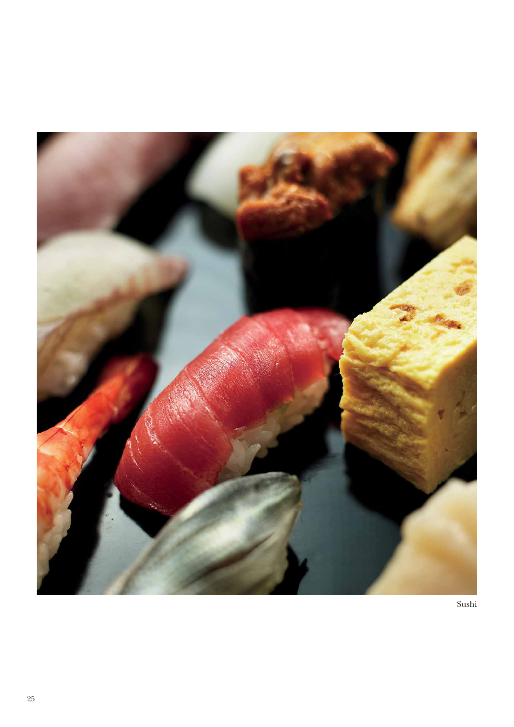

Sushi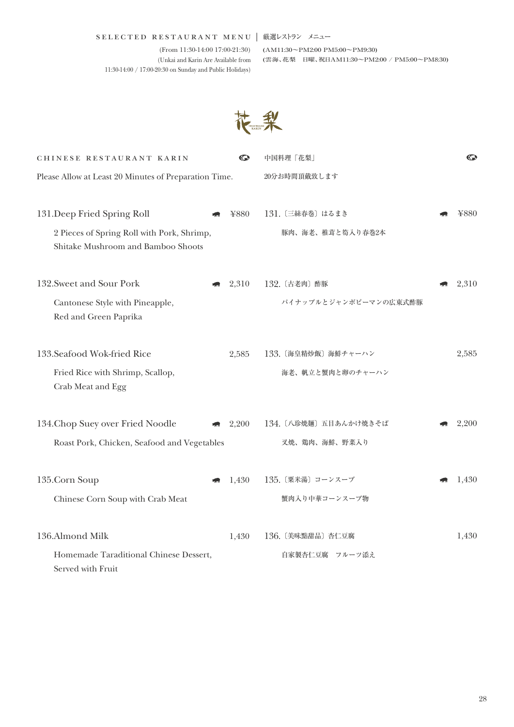## | selected restaurant menu 厳選レストラン メニュー

(From 11:30-14:00 17:00-21:30) (Unkai and Karin Are Available from 11:30-14:00 / 17:00-20:30 on Sunday and Public Holidays)

(AM11:30~PM2:00 PM5:00~PM9:30) (雲海、花梨 日曜、祝日AM11:30~PM2:00 / PM5:00~PM8:30)



| CHINESE RESTAURANT KARIN                                                         | $\bm{\mathbb{C}}$ | 中国料理「花梨」              | $\bm{\mathbb{C}}$ |
|----------------------------------------------------------------------------------|-------------------|-----------------------|-------------------|
| Please Allow at Least 20 Minutes of Preparation Time.                            |                   | 20分お時間頂戴致します          |                   |
|                                                                                  |                   |                       |                   |
| 131. Deep Fried Spring Roll                                                      | ¥880              | 131. 〔三絲春巻〕 はるまき      | ¥880              |
| 2 Pieces of Spring Roll with Pork, Shrimp,<br>Shitake Mushroom and Bamboo Shoots |                   | 豚肉、海老、椎茸と筍入り春巻2本      |                   |
| 132. Sweet and Sour Pork                                                         | 2,310             | 132. 〔古老肉〕 酢豚         | 2,310             |
| Cantonese Style with Pineapple,                                                  |                   | パイナップルとジャンボピーマンの広東式酢豚 |                   |
| Red and Green Paprika                                                            |                   |                       |                   |
| 133. Seafood Wok-fried Rice                                                      | 2,585             | 133. 〔海皇精炒飯〕 海鮮チャーハン  | 2,585             |
| Fried Rice with Shrimp, Scallop,                                                 |                   | 海老、帆立と蟹肉と卵のチャーハン      |                   |
| Crab Meat and Egg                                                                |                   |                       |                   |
| 134. Chop Suey over Fried Noodle                                                 | 2,200             | 134. 〔八珍焼麺〕五目あんかけ焼きそば | 2,200             |
| Roast Pork, Chicken, Seafood and Vegetables                                      |                   | 叉焼、鶏肉、海鮮、野菜入り         |                   |
|                                                                                  |                   |                       |                   |
| 135.Corn Soup                                                                    | 1,430             | 135. 〔粟米湯〕 コーンスープ     | 1,430             |
| Chinese Corn Soup with Crab Meat                                                 |                   | 蟹肉入り中華コーンスープ物         |                   |
| 136.Almond Milk                                                                  | 1,430             | 136. 〔美味點甜品〕杏仁豆腐      | 1,430             |
| Homemade Taraditional Chinese Dessert,                                           |                   | 自家製杏仁豆腐 フルーツ添え        |                   |
| Served with Fruit                                                                |                   |                       |                   |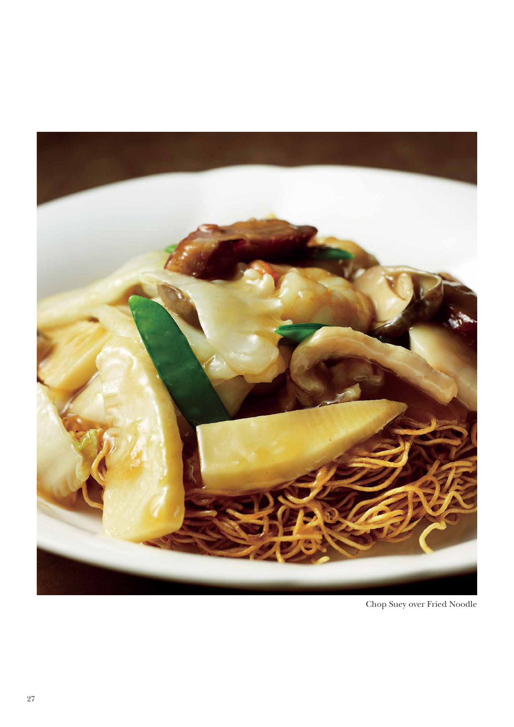

Chop Suey over Fried Noodle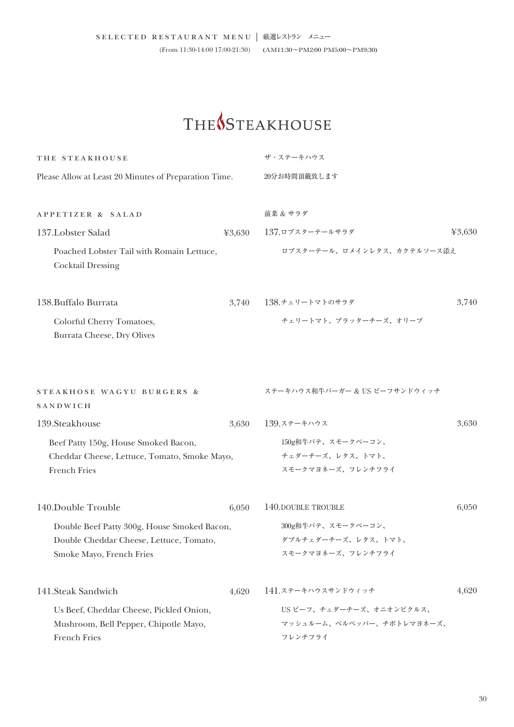## THE<sup>S</sup>STEAKHOUSE

| THE STEAKHOUSE                                                                                                     |        | ザ・ステーキハウス                                                        |        |  |
|--------------------------------------------------------------------------------------------------------------------|--------|------------------------------------------------------------------|--------|--|
| Please Allow at Least 20 Minutes of Preparation Time.                                                              |        | 20分お時間頂戴致します                                                     |        |  |
|                                                                                                                    |        |                                                                  |        |  |
| APPETIZER & SALAD                                                                                                  |        | 前菜 & サラダ                                                         |        |  |
| 137.Lobster Salad                                                                                                  | 43,630 | 137.ロブスターテールサラダ                                                  | 43,630 |  |
| Poached Lobster Tail with Romain Lettuce,<br><b>Cocktail Dressing</b>                                              |        | ロブスターテール、ロメインレタス、カクテルソース添え                                       |        |  |
| 138. Buffalo Burrata                                                                                               | 3,740  | 138.チェリートマトのサラダ                                                  | 3,740  |  |
| Colorful Cherry Tomatoes,<br>Burrata Cheese, Dry Olives                                                            |        | チェリートマト、ブラッターチーズ、オリーブ                                            |        |  |
| STEAKHOSE WAGYU BURGERS &<br>SANDWICH                                                                              |        | ステーキハウス和牛バーガー & US ビーフサンドウィッチ                                    |        |  |
| 139.Steakhouse                                                                                                     | 3,630  | 139.ステーキハウス                                                      | 3,630  |  |
| Beef Patty 150g, House Smoked Bacon,<br>Cheddar Cheese, Lettuce, Tomato, Smoke Mayo,<br><b>French Fries</b>        |        | 150g和牛パテ、スモークベーコン、<br>チェダーチーズ、レタス、トマト、<br>スモークマヨネーズ、フレンチフライ      |        |  |
| 140.Double Trouble                                                                                                 | 6,050  | 140, DOUBLE TROUBLE                                              | 6,050  |  |
| Double Beef Patty 300g, House Smoked Bacon,<br>Double Cheddar Cheese, Lettuce, Tomato,<br>Smoke Mayo, French Fries |        | 300g和牛パテ、スモークベーコン、<br>ダブルチェダーチーズ、レタス、トマト、<br>スモークマヨネーズ、フレンチフライ   |        |  |
| 141.Steak Sandwich                                                                                                 | 4,620  | 141.ステーキハウスサンドウィッチ                                               | 4,620  |  |
| Us Beef, Cheddar Cheese, Pickled Onion,<br>Mushroom, Bell Pepper, Chipotle Mayo,<br>French Fries                   |        | US ビーフ、チェダーチーズ、オニオンピクルス、<br>マッシュルーム、ベルペッパー、チポトレマヨネーズ、<br>フレンチフライ |        |  |